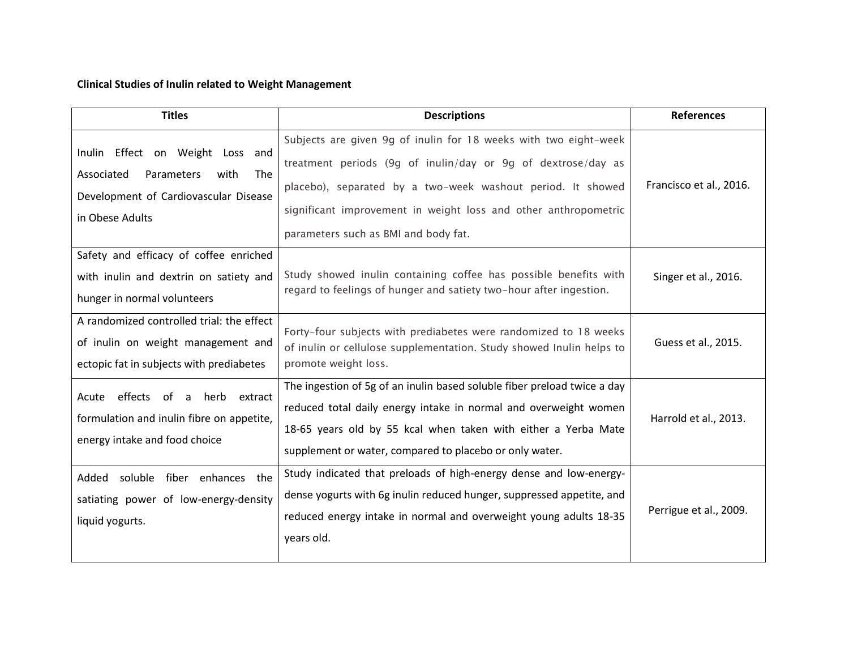## **Clinical Studies of Inulin related to Weight Management**

| <b>Titles</b>                                                                                                                                  | <b>Descriptions</b>                                                                                                                                                                                                                                                                                        | <b>References</b>       |
|------------------------------------------------------------------------------------------------------------------------------------------------|------------------------------------------------------------------------------------------------------------------------------------------------------------------------------------------------------------------------------------------------------------------------------------------------------------|-------------------------|
| Inulin Effect on Weight Loss and<br>Associated<br>Parameters<br>with<br><b>The</b><br>Development of Cardiovascular Disease<br>in Obese Adults | Subjects are given 9g of inulin for 18 weeks with two eight-week<br>treatment periods (9g of inulin/day or 9g of dextrose/day as<br>placebo), separated by a two-week washout period. It showed<br>significant improvement in weight loss and other anthropometric<br>parameters such as BMI and body fat. | Francisco et al., 2016. |
| Safety and efficacy of coffee enriched<br>with inulin and dextrin on satiety and<br>hunger in normal volunteers                                | Study showed inulin containing coffee has possible benefits with<br>regard to feelings of hunger and satiety two-hour after ingestion.                                                                                                                                                                     | Singer et al., 2016.    |
| A randomized controlled trial: the effect<br>of inulin on weight management and<br>ectopic fat in subjects with prediabetes                    | Forty-four subjects with prediabetes were randomized to 18 weeks<br>of inulin or cellulose supplementation. Study showed Inulin helps to<br>promote weight loss.                                                                                                                                           | Guess et al., 2015.     |
| effects of<br>Acute<br>herb<br>extract<br>a<br>formulation and inulin fibre on appetite,<br>energy intake and food choice                      | The ingestion of 5g of an inulin based soluble fiber preload twice a day<br>reduced total daily energy intake in normal and overweight women<br>18-65 years old by 55 kcal when taken with either a Yerba Mate<br>supplement or water, compared to placebo or only water.                                  | Harrold et al., 2013.   |
| Added soluble fiber enhances the<br>satiating power of low-energy-density<br>liquid yogurts.                                                   | Study indicated that preloads of high-energy dense and low-energy-<br>dense yogurts with 6g inulin reduced hunger, suppressed appetite, and<br>reduced energy intake in normal and overweight young adults 18-35<br>years old.                                                                             | Perrigue et al., 2009.  |